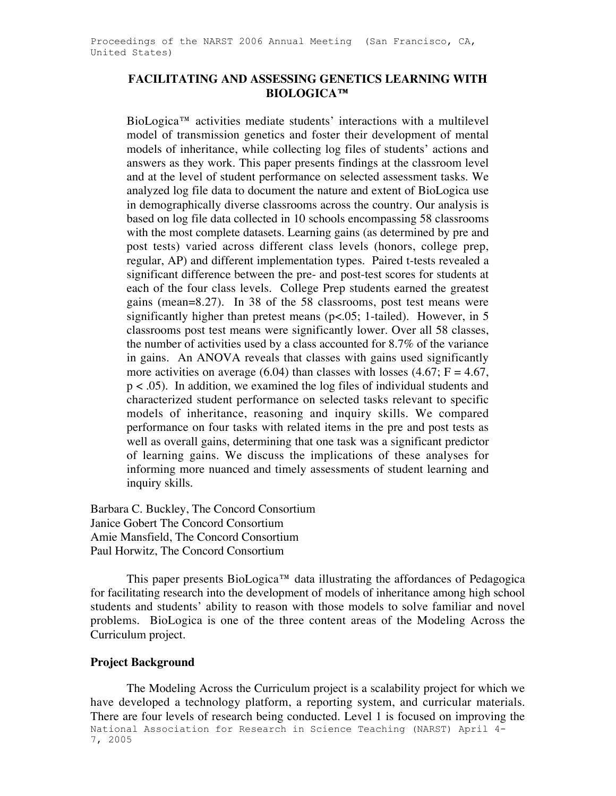## **FACILITATING AND ASSESSING GENETICS LEARNING WITH BIOLOGICA™**

BioLogica™ activities mediate students' interactions with a multilevel model of transmission genetics and foster their development of mental models of inheritance, while collecting log files of students' actions and answers as they work. This paper presents findings at the classroom level and at the level of student performance on selected assessment tasks. We analyzed log file data to document the nature and extent of BioLogica use in demographically diverse classrooms across the country. Our analysis is based on log file data collected in 10 schools encompassing 58 classrooms with the most complete datasets. Learning gains (as determined by pre and post tests) varied across different class levels (honors, college prep, regular, AP) and different implementation types. Paired t-tests revealed a significant difference between the pre- and post-test scores for students at each of the four class levels. College Prep students earned the greatest gains (mean=8.27). In 38 of the 58 classrooms, post test means were significantly higher than pretest means (p<.05; 1-tailed). However, in 5 classrooms post test means were significantly lower. Over all 58 classes, the number of activities used by a class accounted for 8.7% of the variance in gains. An ANOVA reveals that classes with gains used significantly more activities on average (6.04) than classes with losses (4.67;  $F = 4.67$ , p < .05). In addition, we examined the log files of individual students and characterized student performance on selected tasks relevant to specific models of inheritance, reasoning and inquiry skills. We compared performance on four tasks with related items in the pre and post tests as well as overall gains, determining that one task was a significant predictor of learning gains. We discuss the implications of these analyses for informing more nuanced and timely assessments of student learning and inquiry skills.

Barbara C. Buckley, The Concord Consortium Janice Gobert The Concord Consortium Amie Mansfield, The Concord Consortium Paul Horwitz, The Concord Consortium

This paper presents BioLogica™ data illustrating the affordances of Pedagogica for facilitating research into the development of models of inheritance among high school students and students' ability to reason with those models to solve familiar and novel problems. BioLogica is one of the three content areas of the Modeling Across the Curriculum project.

### **Project Background**

National Association for Research in Science Teaching (NARST) April 4- 7, 2005 The Modeling Across the Curriculum project is a scalability project for which we have developed a technology platform, a reporting system, and curricular materials. There are four levels of research being conducted. Level 1 is focused on improving the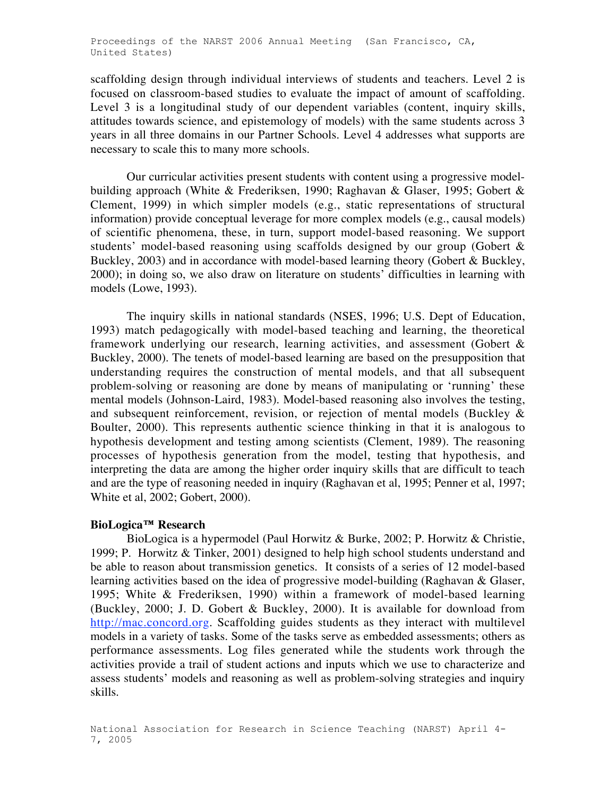scaffolding design through individual interviews of students and teachers. Level 2 is focused on classroom-based studies to evaluate the impact of amount of scaffolding. Level 3 is a longitudinal study of our dependent variables (content, inquiry skills, attitudes towards science, and epistemology of models) with the same students across 3 years in all three domains in our Partner Schools. Level 4 addresses what supports are necessary to scale this to many more schools.

Our curricular activities present students with content using a progressive modelbuilding approach (White & Frederiksen, 1990; Raghavan & Glaser, 1995; Gobert & Clement, 1999) in which simpler models (e.g., static representations of structural information) provide conceptual leverage for more complex models (e.g., causal models) of scientific phenomena, these, in turn, support model-based reasoning. We support students' model-based reasoning using scaffolds designed by our group (Gobert & Buckley, 2003) and in accordance with model-based learning theory (Gobert & Buckley, 2000); in doing so, we also draw on literature on students' difficulties in learning with models (Lowe, 1993).

The inquiry skills in national standards (NSES, 1996; U.S. Dept of Education, 1993) match pedagogically with model-based teaching and learning, the theoretical framework underlying our research, learning activities, and assessment (Gobert & Buckley, 2000). The tenets of model-based learning are based on the presupposition that understanding requires the construction of mental models, and that all subsequent problem-solving or reasoning are done by means of manipulating or 'running' these mental models (Johnson-Laird, 1983). Model-based reasoning also involves the testing, and subsequent reinforcement, revision, or rejection of mental models (Buckley & Boulter, 2000). This represents authentic science thinking in that it is analogous to hypothesis development and testing among scientists (Clement, 1989). The reasoning processes of hypothesis generation from the model, testing that hypothesis, and interpreting the data are among the higher order inquiry skills that are difficult to teach and are the type of reasoning needed in inquiry (Raghavan et al, 1995; Penner et al, 1997; White et al, 2002; Gobert, 2000).

### **BioLogica™ Research**

BioLogica is a hypermodel (Paul Horwitz & Burke, 2002; P. Horwitz & Christie, 1999; P. Horwitz & Tinker, 2001) designed to help high school students understand and be able to reason about transmission genetics. It consists of a series of 12 model-based learning activities based on the idea of progressive model-building (Raghavan & Glaser, 1995; White & Frederiksen, 1990) within a framework of model-based learning (Buckley, 2000; J. D. Gobert & Buckley, 2000). It is available for download from http://mac.concord.org. Scaffolding guides students as they interact with multilevel models in a variety of tasks. Some of the tasks serve as embedded assessments; others as performance assessments. Log files generated while the students work through the activities provide a trail of student actions and inputs which we use to characterize and assess students' models and reasoning as well as problem-solving strategies and inquiry skills.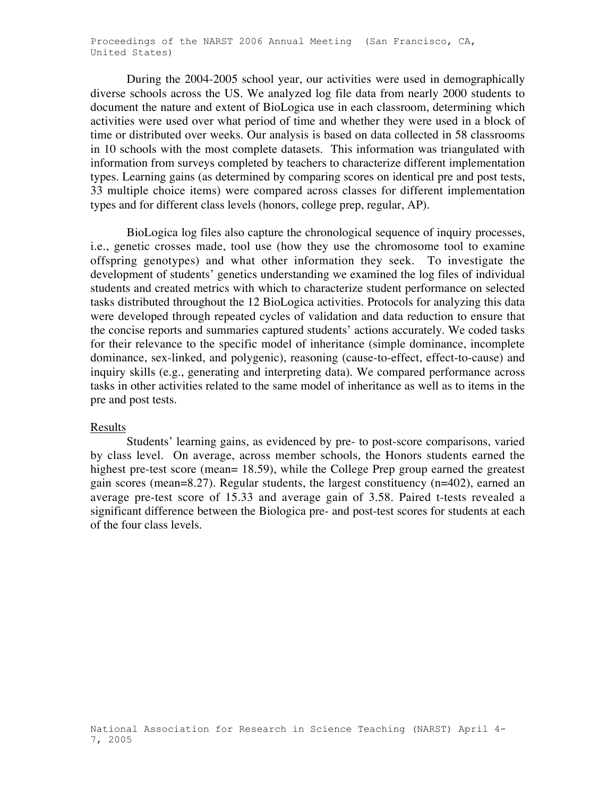During the 2004-2005 school year, our activities were used in demographically diverse schools across the US. We analyzed log file data from nearly 2000 students to document the nature and extent of BioLogica use in each classroom, determining which activities were used over what period of time and whether they were used in a block of time or distributed over weeks. Our analysis is based on data collected in 58 classrooms in 10 schools with the most complete datasets. This information was triangulated with information from surveys completed by teachers to characterize different implementation types. Learning gains (as determined by comparing scores on identical pre and post tests, 33 multiple choice items) were compared across classes for different implementation types and for different class levels (honors, college prep, regular, AP).

BioLogica log files also capture the chronological sequence of inquiry processes, i.e., genetic crosses made, tool use (how they use the chromosome tool to examine offspring genotypes) and what other information they seek. To investigate the development of students' genetics understanding we examined the log files of individual students and created metrics with which to characterize student performance on selected tasks distributed throughout the 12 BioLogica activities. Protocols for analyzing this data were developed through repeated cycles of validation and data reduction to ensure that the concise reports and summaries captured students' actions accurately. We coded tasks for their relevance to the specific model of inheritance (simple dominance, incomplete dominance, sex-linked, and polygenic), reasoning (cause-to-effect, effect-to-cause) and inquiry skills (e.g., generating and interpreting data). We compared performance across tasks in other activities related to the same model of inheritance as well as to items in the pre and post tests.

### Results

Students' learning gains, as evidenced by pre- to post-score comparisons, varied by class level. On average, across member schools, the Honors students earned the highest pre-test score (mean= 18.59), while the College Prep group earned the greatest gain scores (mean=8.27). Regular students, the largest constituency (n=402), earned an average pre-test score of 15.33 and average gain of 3.58. Paired t-tests revealed a significant difference between the Biologica pre- and post-test scores for students at each of the four class levels.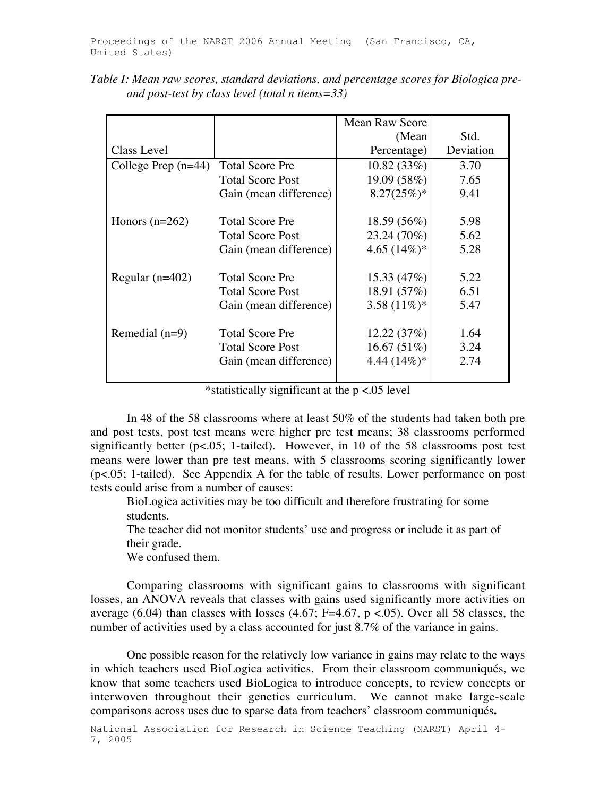|                       |                         | Mean Raw Score  |           |
|-----------------------|-------------------------|-----------------|-----------|
|                       |                         | (Mean           | Std.      |
| Class Level           |                         | Percentage)     | Deviation |
| College Prep $(n=44)$ | <b>Total Score Pre</b>  | 10.82(33%)      | 3.70      |
|                       | <b>Total Score Post</b> | 19.09 (58%)     | 7.65      |
|                       | Gain (mean difference)  | $8.27(25%)$ *   | 9.41      |
|                       |                         |                 |           |
| Honors $(n=262)$      | <b>Total Score Pre</b>  | 18.59(56%)      | 5.98      |
|                       | <b>Total Score Post</b> | 23.24 (70%)     | 5.62      |
|                       | Gain (mean difference)  | 4.65 $(14\%)*$  | 5.28      |
| Regular $(n=402)$     | <b>Total Score Pre</b>  | 15.33(47%)      | 5.22      |
|                       | <b>Total Score Post</b> | 18.91 (57%)     | 6.51      |
|                       | Gain (mean difference)  | 3.58 $(11\%)^*$ | 5.47      |
|                       |                         |                 |           |
| Remedial $(n=9)$      | <b>Total Score Pre</b>  | 12.22(37%)      | 1.64      |
|                       | <b>Total Score Post</b> | 16.67(51%)      | 3.24      |
|                       | Gain (mean difference)  | 4.44 $(14\%)^*$ | 2.74      |
|                       |                         |                 |           |

*Table I: Mean raw scores, standard deviations, and percentage scores for Biologica preand post-test by class level (total n items=33)*

\*statistically significant at the p <.05 level

In 48 of the 58 classrooms where at least 50% of the students had taken both pre and post tests, post test means were higher pre test means; 38 classrooms performed significantly better (p<.05; 1-tailed). However, in 10 of the 58 classrooms post test means were lower than pre test means, with 5 classrooms scoring significantly lower (p<.05; 1-tailed). See Appendix A for the table of results. Lower performance on post tests could arise from a number of causes:

 BioLogica activities may be too difficult and therefore frustrating for some students.

 The teacher did not monitor students' use and progress or include it as part of their grade.

We confused them.

Comparing classrooms with significant gains to classrooms with significant losses, an ANOVA reveals that classes with gains used significantly more activities on average (6.04) than classes with losses (4.67; F=4.67,  $p < 0.05$ ). Over all 58 classes, the number of activities used by a class accounted for just 8.7% of the variance in gains.

One possible reason for the relatively low variance in gains may relate to the ways in which teachers used BioLogica activities. From their classroom communiqués, we know that some teachers used BioLogica to introduce concepts, to review concepts or interwoven throughout their genetics curriculum. We cannot make large-scale comparisons across uses due to sparse data from teachers' classroom communiqués**.**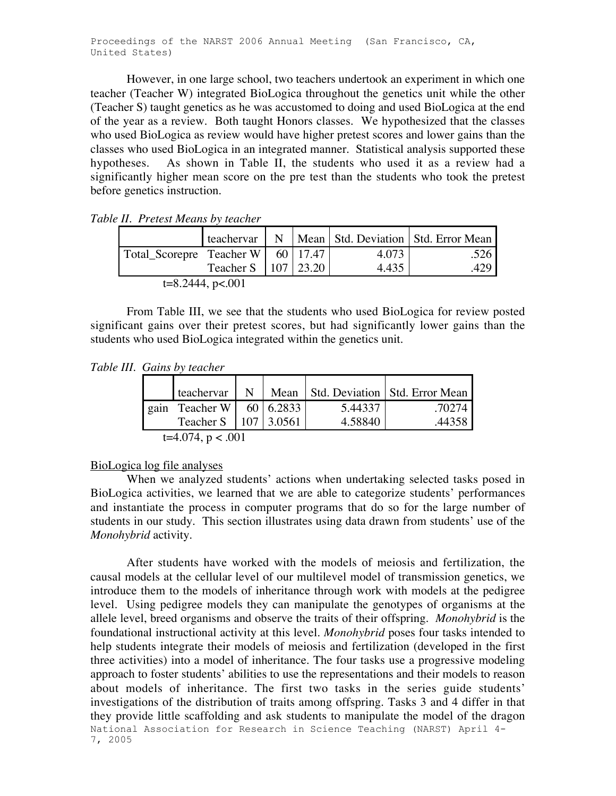Proceedings of the NARST 2006 Annual Meeting (San Francisco, CA, United States)

However, in one large school, two teachers undertook an experiment in which one teacher (Teacher W) integrated BioLogica throughout the genetics unit while the other (Teacher S) taught genetics as he was accustomed to doing and used BioLogica at the end of the year as a review. Both taught Honors classes. We hypothesized that the classes who used BioLogica as review would have higher pretest scores and lower gains than the classes who used BioLogica in an integrated manner. Statistical analysis supported these hypotheses. As shown in Table II, the students who used it as a review had a significantly higher mean score on the pre test than the students who took the pretest before genetics instruction.

|                                                     |                         |  |  |       | teachervar   N   Mean   Std. Deviation   Std. Error Mean |  |  |
|-----------------------------------------------------|-------------------------|--|--|-------|----------------------------------------------------------|--|--|
| $\vert$ Total_Scorepre Teacher W $\vert$ 60   17.47 |                         |  |  | 4.073 | .526                                                     |  |  |
|                                                     | Teacher S   107   23.20 |  |  | 4.435 |                                                          |  |  |
| $t=8.2444$ , p<.001                                 |                         |  |  |       |                                                          |  |  |

*Table II. Pretest Means by teacher*

From Table III, we see that the students who used BioLogica for review posted significant gains over their pretest scores, but had significantly lower gains than the students who used BioLogica integrated within the genetics unit.

*Table III. Gains by teacher*

|                      |                           |  |  |         | teachervar   N   Mean   Std. Deviation   Std. Error Mean |  |  |  |
|----------------------|---------------------------|--|--|---------|----------------------------------------------------------|--|--|--|
| gain                 | Teacher W   $60$   6.2833 |  |  | 5.44337 | .70274                                                   |  |  |  |
|                      | Teacher S   107   3.0561  |  |  | 4.58840 | .44358                                                   |  |  |  |
| $t=4.074$ , p < .001 |                           |  |  |         |                                                          |  |  |  |

#### BioLogica log file analyses

When we analyzed students' actions when undertaking selected tasks posed in BioLogica activities, we learned that we are able to categorize students' performances and instantiate the process in computer programs that do so for the large number of students in our study. This section illustrates using data drawn from students' use of the *Monohybrid* activity.

National Association for Research in Science Teaching (NARST) April 4- 7, 2005 After students have worked with the models of meiosis and fertilization, the causal models at the cellular level of our multilevel model of transmission genetics, we introduce them to the models of inheritance through work with models at the pedigree level. Using pedigree models they can manipulate the genotypes of organisms at the allele level, breed organisms and observe the traits of their offspring. *Monohybrid* is the foundational instructional activity at this level. *Monohybrid* poses four tasks intended to help students integrate their models of meiosis and fertilization (developed in the first three activities) into a model of inheritance. The four tasks use a progressive modeling approach to foster students' abilities to use the representations and their models to reason about models of inheritance. The first two tasks in the series guide students' investigations of the distribution of traits among offspring. Tasks 3 and 4 differ in that they provide little scaffolding and ask students to manipulate the model of the dragon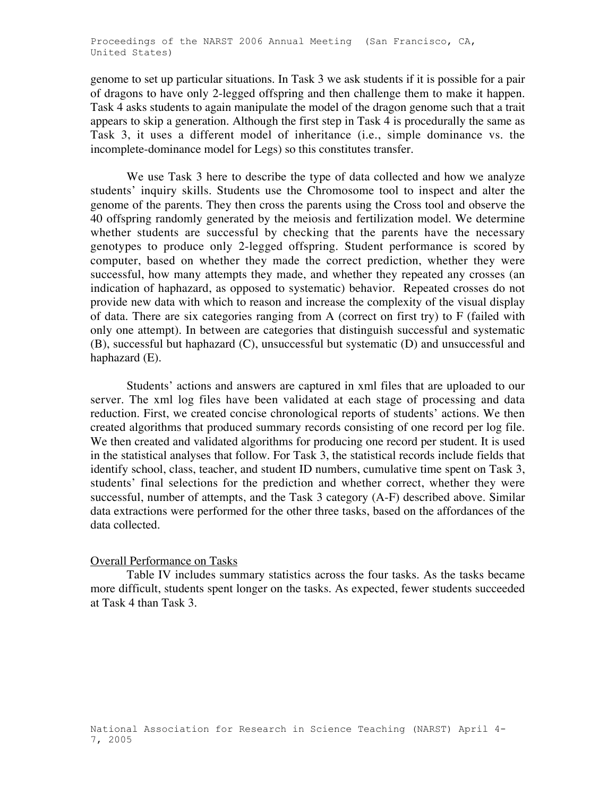genome to set up particular situations. In Task 3 we ask students if it is possible for a pair of dragons to have only 2-legged offspring and then challenge them to make it happen. Task 4 asks students to again manipulate the model of the dragon genome such that a trait appears to skip a generation. Although the first step in Task 4 is procedurally the same as Task 3, it uses a different model of inheritance (i.e., simple dominance vs. the incomplete-dominance model for Legs) so this constitutes transfer.

We use Task 3 here to describe the type of data collected and how we analyze students' inquiry skills. Students use the Chromosome tool to inspect and alter the genome of the parents. They then cross the parents using the Cross tool and observe the 40 offspring randomly generated by the meiosis and fertilization model. We determine whether students are successful by checking that the parents have the necessary genotypes to produce only 2-legged offspring. Student performance is scored by computer, based on whether they made the correct prediction, whether they were successful, how many attempts they made, and whether they repeated any crosses (an indication of haphazard, as opposed to systematic) behavior. Repeated crosses do not provide new data with which to reason and increase the complexity of the visual display of data. There are six categories ranging from A (correct on first try) to F (failed with only one attempt). In between are categories that distinguish successful and systematic (B), successful but haphazard (C), unsuccessful but systematic (D) and unsuccessful and haphazard (E).

Students' actions and answers are captured in xml files that are uploaded to our server. The xml log files have been validated at each stage of processing and data reduction. First, we created concise chronological reports of students' actions. We then created algorithms that produced summary records consisting of one record per log file. We then created and validated algorithms for producing one record per student. It is used in the statistical analyses that follow. For Task 3, the statistical records include fields that identify school, class, teacher, and student ID numbers, cumulative time spent on Task 3, students' final selections for the prediction and whether correct, whether they were successful, number of attempts, and the Task 3 category (A-F) described above. Similar data extractions were performed for the other three tasks, based on the affordances of the data collected.

### Overall Performance on Tasks

Table IV includes summary statistics across the four tasks. As the tasks became more difficult, students spent longer on the tasks. As expected, fewer students succeeded at Task 4 than Task 3.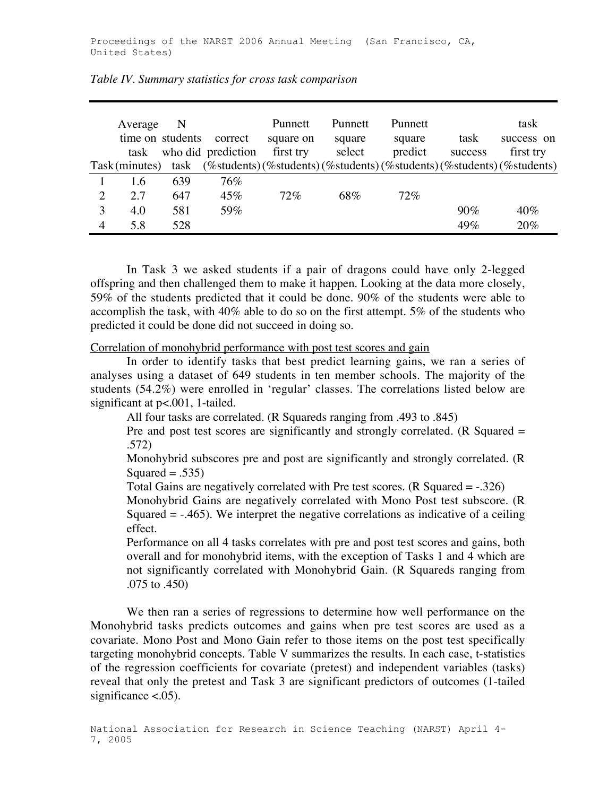|   | Average<br>task | N<br>time on students | correct<br>who did prediction | Punnett<br>square on<br>first try | Punnett<br>square<br>select | <b>Punnett</b><br>square<br>predict | task<br>success | task<br>success on<br>first try                                    |
|---|-----------------|-----------------------|-------------------------------|-----------------------------------|-----------------------------|-------------------------------------|-----------------|--------------------------------------------------------------------|
|   | Task(minutes)   | task                  |                               |                                   |                             |                                     |                 | (%students)(%students)(%students)(%students)(%students)(%students) |
|   | 1.6             | 639                   | 76%                           |                                   |                             |                                     |                 |                                                                    |
| 2 | 2.7             | 647                   | 45%                           | 72%                               | 68%                         | 72%                                 |                 |                                                                    |
| 3 | 4.0             | 581                   | 59%                           |                                   |                             |                                     | 90%             | $40\%$                                                             |
| 4 | 5.8             | 528                   |                               |                                   |                             |                                     | 49%             | 20%                                                                |

In Task 3 we asked students if a pair of dragons could have only 2-legged offspring and then challenged them to make it happen. Looking at the data more closely, 59% of the students predicted that it could be done. 90% of the students were able to accomplish the task, with 40% able to do so on the first attempt. 5% of the students who predicted it could be done did not succeed in doing so.

Correlation of monohybrid performance with post test scores and gain

In order to identify tasks that best predict learning gains, we ran a series of analyses using a dataset of 649 students in ten member schools. The majority of the students (54.2%) were enrolled in 'regular' classes. The correlations listed below are significant at p<.001, 1-tailed.

All four tasks are correlated. (R Squareds ranging from .493 to .845)

Pre and post test scores are significantly and strongly correlated. (R Squared = .572)

 Monohybrid subscores pre and post are significantly and strongly correlated. (R Squared  $= .535$ )

Total Gains are negatively correlated with Pre test scores. (R Squared  $= -0.326$ )

 Monohybrid Gains are negatively correlated with Mono Post test subscore. (R Squared  $= -0.465$ ). We interpret the negative correlations as indicative of a ceiling effect.

 Performance on all 4 tasks correlates with pre and post test scores and gains, both overall and for monohybrid items, with the exception of Tasks 1 and 4 which are not significantly correlated with Monohybrid Gain. (R Squareds ranging from .075 to .450)

We then ran a series of regressions to determine how well performance on the Monohybrid tasks predicts outcomes and gains when pre test scores are used as a covariate. Mono Post and Mono Gain refer to those items on the post test specifically targeting monohybrid concepts. Table V summarizes the results. In each case, t-statistics of the regression coefficients for covariate (pretest) and independent variables (tasks) reveal that only the pretest and Task 3 are significant predictors of outcomes (1-tailed significance  $< .05$ ).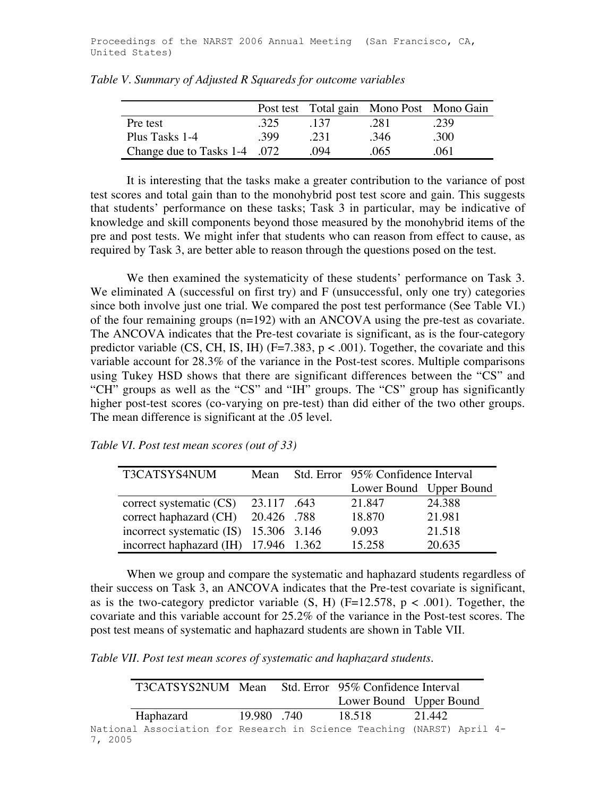|                              |      |      |      | Post test Total gain Mono Post Mono Gain |
|------------------------------|------|------|------|------------------------------------------|
| Pre test                     | -325 | 137  | .281 | .239                                     |
| Plus Tasks 1-4               | -399 | .231 | .346 | .300                                     |
| Change due to Tasks 1-4 .072 |      | .094 | -065 | .061                                     |

*Table V. Summary of Adjusted R Squareds for outcome variables*

It is interesting that the tasks make a greater contribution to the variance of post test scores and total gain than to the monohybrid post test score and gain. This suggests that students' performance on these tasks; Task 3 in particular, may be indicative of knowledge and skill components beyond those measured by the monohybrid items of the pre and post tests. We might infer that students who can reason from effect to cause, as required by Task 3, are better able to reason through the questions posed on the test.

We then examined the systematicity of these students' performance on Task 3. We eliminated A (successful on first try) and F (unsuccessful, only one try) categories since both involve just one trial. We compared the post test performance (See Table VI.) of the four remaining groups (n=192) with an ANCOVA using the pre-test as covariate. The ANCOVA indicates that the Pre-test covariate is significant, as is the four-category predictor variable (CS, CH, IS, IH) ( $F=7.383$ ,  $p < .001$ ). Together, the covariate and this variable account for 28.3% of the variance in the Post-test scores. Multiple comparisons using Tukey HSD shows that there are significant differences between the "CS" and "CH" groups as well as the "CS" and "IH" groups. The "CS" group has significantly higher post-test scores (co-varying on pre-test) than did either of the two other groups. The mean difference is significant at the .05 level.

*Table VI. Post test mean scores (out of 33)*

| T3CATSYS4NUM                           | Mean        | Std. Error 95% Confidence Interval |        |
|----------------------------------------|-------------|------------------------------------|--------|
|                                        |             | Lower Bound Upper Bound            |        |
| correct systematic $(CS)$              | 23.117 .643 | 21.847                             | 24.388 |
| correct haphazard (CH) 20.426 .788     |             | 18.870                             | 21.981 |
| incorrect systematic (IS) 15.306 3.146 |             | 9.093                              | 21.518 |
| incorrect haphazard (IH) 17.946 1.362  |             | 15.258                             | 20.635 |

When we group and compare the systematic and haphazard students regardless of their success on Task 3, an ANCOVA indicates that the Pre-test covariate is significant, as is the two-category predictor variable  $(S, H)$  (F=12.578, p < .001). Together, the covariate and this variable account for 25.2% of the variance in the Post-test scores. The post test means of systematic and haphazard students are shown in Table VII.

*Table VII. Post test mean scores of systematic and haphazard students.*

|         |                                                                        |            |         | T3CATSYS2NUM Mean Std. Error 95% Confidence Interval |                         |  |
|---------|------------------------------------------------------------------------|------------|---------|------------------------------------------------------|-------------------------|--|
|         |                                                                        |            |         |                                                      | Lower Bound Upper Bound |  |
|         | Haphazard                                                              | 19.980.740 | -18.518 |                                                      | 21.442                  |  |
| 7, 2005 | National Association for Research in Science Teaching (NARST) April 4- |            |         |                                                      |                         |  |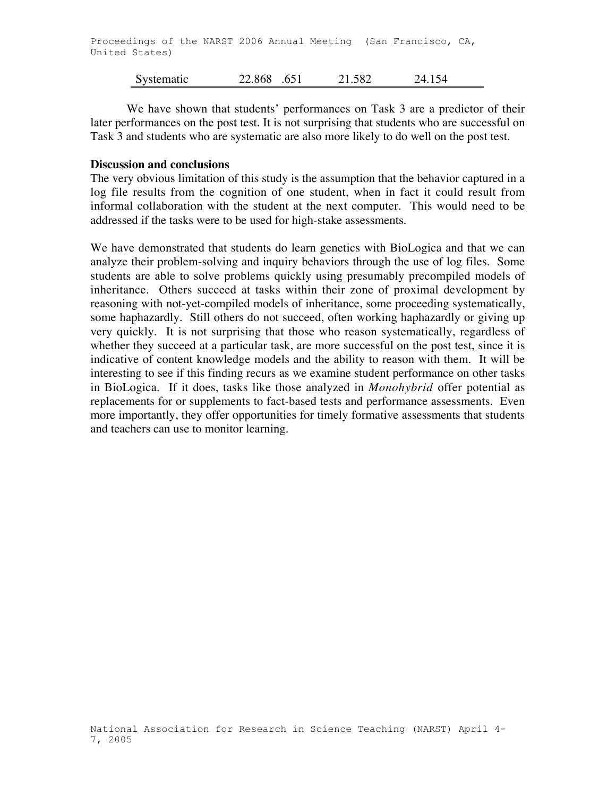We have shown that students' performances on Task 3 are a predictor of their later performances on the post test. It is not surprising that students who are successful on Task 3 and students who are systematic are also more likely to do well on the post test.

### **Discussion and conclusions**

The very obvious limitation of this study is the assumption that the behavior captured in a log file results from the cognition of one student, when in fact it could result from informal collaboration with the student at the next computer. This would need to be addressed if the tasks were to be used for high-stake assessments.

We have demonstrated that students do learn genetics with BioLogica and that we can analyze their problem-solving and inquiry behaviors through the use of log files. Some students are able to solve problems quickly using presumably precompiled models of inheritance. Others succeed at tasks within their zone of proximal development by reasoning with not-yet-compiled models of inheritance, some proceeding systematically, some haphazardly. Still others do not succeed, often working haphazardly or giving up very quickly. It is not surprising that those who reason systematically, regardless of whether they succeed at a particular task, are more successful on the post test, since it is indicative of content knowledge models and the ability to reason with them. It will be interesting to see if this finding recurs as we examine student performance on other tasks in BioLogica. If it does, tasks like those analyzed in *Monohybrid* offer potential as replacements for or supplements to fact-based tests and performance assessments. Even more importantly, they offer opportunities for timely formative assessments that students and teachers can use to monitor learning.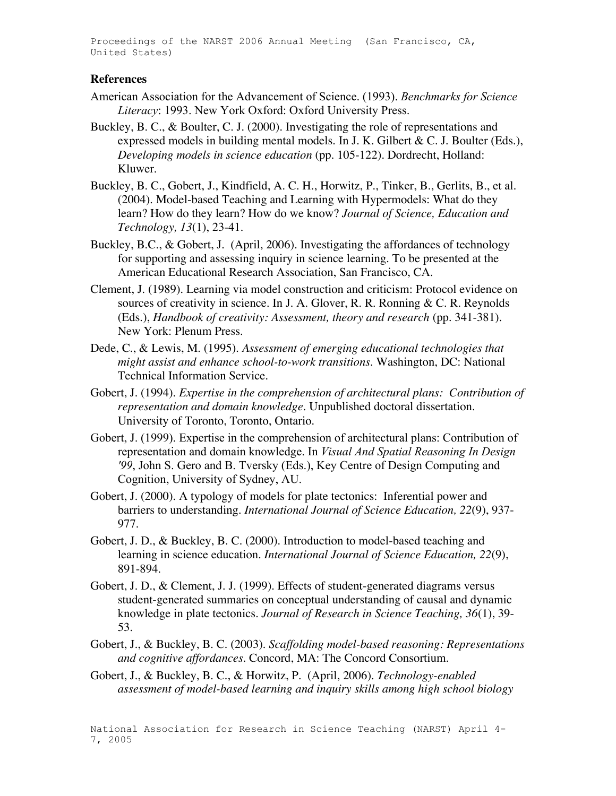Proceedings of the NARST 2006 Annual Meeting (San Francisco, CA, United States)

### **References**

- American Association for the Advancement of Science. (1993). *Benchmarks for Science Literacy*: 1993. New York Oxford: Oxford University Press.
- Buckley, B. C., & Boulter, C. J. (2000). Investigating the role of representations and expressed models in building mental models. In J. K. Gilbert & C. J. Boulter (Eds.), *Developing models in science education* (pp. 105-122). Dordrecht, Holland: Kluwer.
- Buckley, B. C., Gobert, J., Kindfield, A. C. H., Horwitz, P., Tinker, B., Gerlits, B., et al. (2004). Model-based Teaching and Learning with Hypermodels: What do they learn? How do they learn? How do we know? *Journal of Science, Education and Technology, 13*(1), 23-41.
- Buckley, B.C., & Gobert, J. (April, 2006). Investigating the affordances of technology for supporting and assessing inquiry in science learning. To be presented at the American Educational Research Association, San Francisco, CA.
- Clement, J. (1989). Learning via model construction and criticism: Protocol evidence on sources of creativity in science. In J. A. Glover, R. R. Ronning & C. R. Reynolds (Eds.), *Handbook of creativity: Assessment, theory and research* (pp. 341-381). New York: Plenum Press.
- Dede, C., & Lewis, M. (1995). *Assessment of emerging educational technologies that might assist and enhance school-to-work transitions*. Washington, DC: National Technical Information Service.
- Gobert, J. (1994). *Expertise in the comprehension of architectural plans: Contribution of representation and domain knowledge.* Unpublished doctoral dissertation. University of Toronto, Toronto, Ontario.
- Gobert, J. (1999). Expertise in the comprehension of architectural plans: Contribution of representation and domain knowledge. In *Visual And Spatial Reasoning In Design '99*, John S. Gero and B. Tversky (Eds.), Key Centre of Design Computing and Cognition, University of Sydney, AU.
- Gobert, J. (2000). A typology of models for plate tectonics: Inferential power and barriers to understanding. *International Journal of Science Education, 22*(9), 937- 977.
- Gobert, J. D., & Buckley, B. C. (2000). Introduction to model-based teaching and learning in science education. *International Journal of Science Education, 22*(9), 891-894.
- Gobert, J. D., & Clement, J. J. (1999). Effects of student-generated diagrams versus student-generated summaries on conceptual understanding of causal and dynamic knowledge in plate tectonics. *Journal of Research in Science Teaching, 36*(1), 39- 53.
- Gobert, J., & Buckley, B. C. (2003). *Scaffolding model-based reasoning: Representations and cognitive affordances*. Concord, MA: The Concord Consortium.
- Gobert, J., & Buckley, B. C., & Horwitz, P. (April, 2006). *Technology-enabled assessment of model-based learning and inquiry skills among high school biology*

National Association for Research in Science Teaching (NARST) April 4- 7, 2005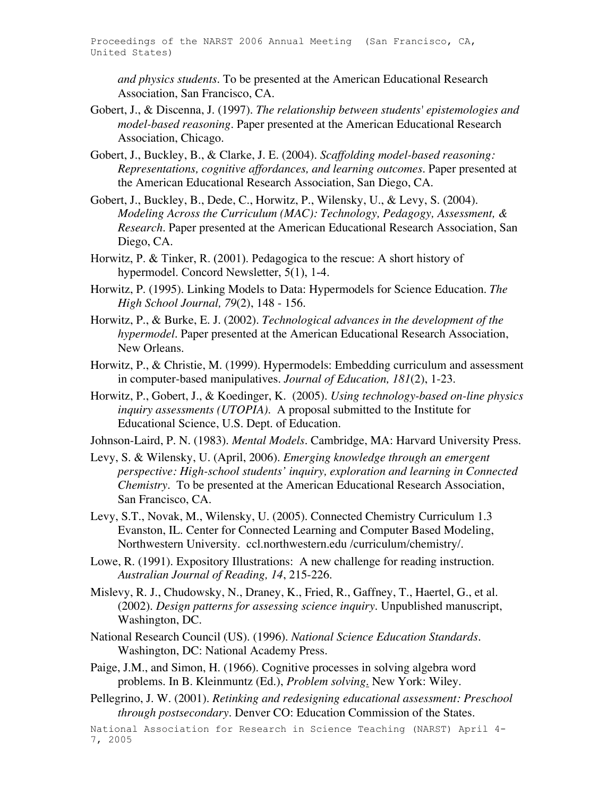*and physics students*. To be presented at the American Educational Research Association, San Francisco, CA.

- Gobert, J., & Discenna, J. (1997). *The relationship between students' epistemologies and model-based reasoning.* Paper presented at the American Educational Research Association, Chicago.
- Gobert, J., Buckley, B., & Clarke, J. E. (2004). *Scaffolding model-based reasoning: Representations, cognitive affordances, and learning outcomes.* Paper presented at the American Educational Research Association, San Diego, CA.
- Gobert, J., Buckley, B., Dede, C., Horwitz, P., Wilensky, U., & Levy, S. (2004). *Modeling Across the Curriculum (MAC): Technology, Pedagogy, Assessment, & Research.* Paper presented at the American Educational Research Association, San Diego, CA.
- Horwitz, P. & Tinker, R. (2001). Pedagogica to the rescue: A short history of hypermodel. Concord Newsletter, 5(1), 1-4.
- Horwitz, P. (1995). Linking Models to Data: Hypermodels for Science Education. *The High School Journal, 79*(2), 148 - 156.
- Horwitz, P., & Burke, E. J. (2002). *Technological advances in the development of the hypermodel.* Paper presented at the American Educational Research Association, New Orleans.
- Horwitz, P., & Christie, M. (1999). Hypermodels: Embedding curriculum and assessment in computer-based manipulatives. *Journal of Education, 181*(2), 1-23.
- Horwitz, P., Gobert, J., & Koedinger, K. (2005). *Using technology-based on-line physics inquiry assessments (UTOPIA).* A proposal submitted to the Institute for Educational Science, U.S. Dept. of Education.
- Johnson-Laird, P. N. (1983). *Mental Models*. Cambridge, MA: Harvard University Press.
- Levy, S. & Wilensky, U. (April, 2006). *Emerging knowledge through an emergent perspective: High-school students' inquiry, exploration and learning in Connected Chemistry.* To be presented at the American Educational Research Association, San Francisco, CA.
- Levy, S.T., Novak, M., Wilensky, U. (2005). Connected Chemistry Curriculum 1.3 Evanston, IL. Center for Connected Learning and Computer Based Modeling, Northwestern University. ccl.northwestern.edu /curriculum/chemistry/.
- Lowe, R. (1991). Expository Illustrations: A new challenge for reading instruction. *Australian Journal of Reading, 14*, 215-226.
- Mislevy, R. J., Chudowsky, N., Draney, K., Fried, R., Gaffney, T., Haertel, G., et al. (2002). *Design patterns for assessing science inquiry*. Unpublished manuscript, Washington, DC.
- National Research Council (US). (1996). *National Science Education Standards*. Washington, DC: National Academy Press.
- Paige, J.M., and Simon, H. (1966). Cognitive processes in solving algebra word problems. In B. Kleinmuntz (Ed.), *Problem solving*. New York: Wiley.
- Pellegrino, J. W. (2001). *Retinking and redesigning educational assessment: Preschool through postsecondary.* Denver CO: Education Commission of the States.

National Association for Research in Science Teaching (NARST) April 4- 7, 2005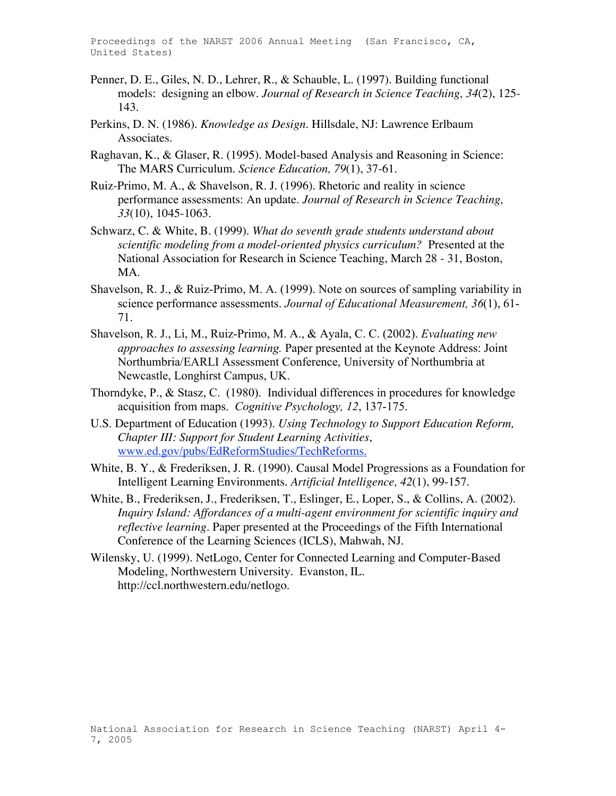Proceedings of the NARST 2006 Annual Meeting (San Francisco, CA, United States)

- Penner, D. E., Giles, N. D., Lehrer, R., & Schauble, L. (1997). Building functional models: designing an elbow. *Journal of Research in Science Teaching, 34*(2), 125- 143.
- Perkins, D. N. (1986). *Knowledge as Design*. Hillsdale, NJ: Lawrence Erlbaum Associates.
- Raghavan, K., & Glaser, R. (1995). Model-based Analysis and Reasoning in Science: The MARS Curriculum. *Science Education, 79*(1), 37-61.
- Ruiz-Primo, M. A., & Shavelson, R. J. (1996). Rhetoric and reality in science performance assessments: An update. *Journal of Research in Science Teaching, 33*(10), 1045-1063.
- Schwarz, C. & White, B. (1999). *What do seventh grade students understand about scientific modeling from a model-oriented physics curriculum?* Presented at the National Association for Research in Science Teaching, March 28 - 31, Boston, MA.
- Shavelson, R. J., & Ruiz-Primo, M. A. (1999). Note on sources of sampling variability in science performance assessments. *Journal of Educational Measurement, 36*(1), 61- 71.
- Shavelson, R. J., Li, M., Ruiz-Primo, M. A., & Ayala, C. C. (2002). *Evaluating new approaches to assessing learning.* Paper presented at the Keynote Address: Joint Northumbria/EARLI Assessment Conference, University of Northumbria at Newcastle, Longhirst Campus, UK.
- Thorndyke, P., & Stasz, C. (1980). Individual differences in procedures for knowledge acquisition from maps. *Cognitive Psychology, 12*, 137-175.
- U.S. Department of Education (1993). *Using Technology to Support Education Reform, Chapter III: Support for Student Learning Activities*, www.ed.gov/pubs/EdReformStudies/TechReforms.
- White, B. Y., & Frederiksen, J. R. (1990). Causal Model Progressions as a Foundation for Intelligent Learning Environments. *Artificial Intelligence, 42*(1), 99-157.
- White, B., Frederiksen, J., Frederiksen, T., Eslinger, E., Loper, S., & Collins, A. (2002). *Inquiry Island: Affordances of a multi-agent environment for scientific inquiry and reflective learning.* Paper presented at the Proceedings of the Fifth International Conference of the Learning Sciences (ICLS), Mahwah, NJ.
- Wilensky, U. (1999). NetLogo, Center for Connected Learning and Computer-Based Modeling, Northwestern University. Evanston, IL. http://ccl.northwestern.edu/netlogo.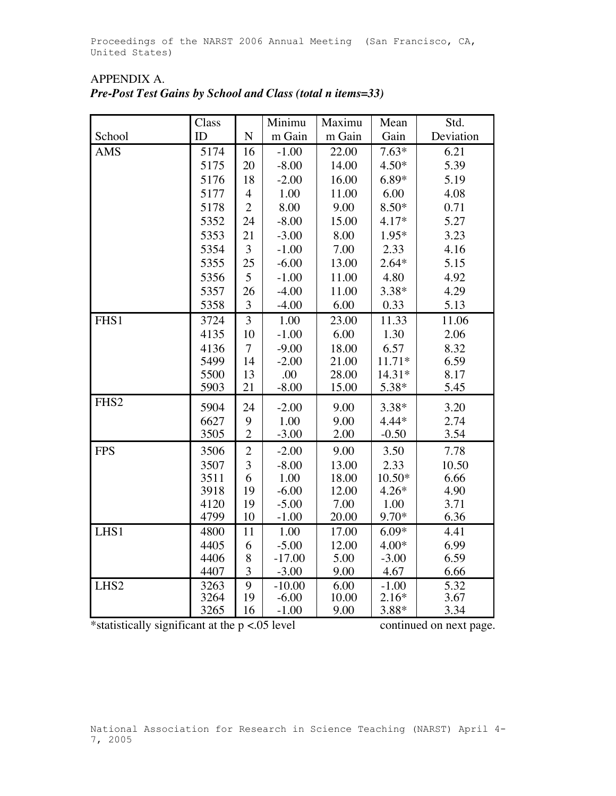|                  | Class        |                | Minimu<br>Maximu   |               | Mean               | Std.         |
|------------------|--------------|----------------|--------------------|---------------|--------------------|--------------|
| School           | ID           | ${\bf N}$      | m Gain             | m Gain        | Gain               | Deviation    |
| <b>AMS</b>       | 5174         | 16             | $-1.00$            | 22.00         | $7.63*$            | 6.21         |
|                  | 5175         | 20             | $-8.00$            | 14.00         | $4.50*$            | 5.39         |
|                  | 5176         | 18             | $-2.00$            | 16.00         | $6.89*$            | 5.19         |
|                  | 5177         | $\overline{4}$ | 1.00               | 11.00         | 6.00               | 4.08         |
|                  | 5178         | $\overline{2}$ | 8.00               | 9.00          | $8.50*$            | 0.71         |
|                  | 5352         | 24             | $-8.00$            | 15.00         | $4.17*$            | 5.27         |
|                  | 5353         | 21             | $-3.00$            | 8.00          | 1.95*              | 3.23         |
|                  | 5354         | 3              | $-1.00$            | 7.00          | 2.33               | 4.16         |
|                  | 5355         | 25             | $-6.00$            | 13.00         | $2.64*$            | 5.15         |
|                  | 5356         | 5              | $-1.00$            | 11.00         | 4.80               | 4.92         |
|                  | 5357         | 26             | $-4.00$            | 11.00         | $3.38*$            | 4.29         |
|                  | 5358         | 3              | $-4.00$            | 6.00          | 0.33               | 5.13         |
| FHS1             | 3724         | $\overline{3}$ | 1.00               | 23.00         | 11.33              | 11.06        |
|                  | 4135         | 10             | $-1.00$            | 6.00          | 1.30               | 2.06         |
|                  | 4136         | $\overline{7}$ | $-9.00$            | 18.00         | 6.57               | 8.32         |
|                  | 5499         | 14             | $-2.00$            | 21.00         | $11.71*$           | 6.59         |
|                  | 5500         | 13             | .00                | 28.00         | 14.31*             | 8.17         |
|                  | 5903         | 21             | $-8.00$            | 15.00         | 5.38*              | 5.45         |
| FHS <sub>2</sub> | 5904         | 24             | $-2.00$            | 9.00          | $3.38*$            | 3.20         |
|                  | 6627         | 9              | 1.00               | 9.00          | $4.44*$            | 2.74         |
|                  | 3505         | $\overline{c}$ | $-3.00$            | 2.00          | $-0.50$            | 3.54         |
| <b>FPS</b>       | 3506         | $\overline{c}$ | $-2.00$            | 9.00          | 3.50               | 7.78         |
|                  | 3507         | 3              | $-8.00$            | 13.00         | 2.33               | 10.50        |
|                  | 3511         | 6              | 1.00               | 18.00         | $10.50*$           | 6.66         |
|                  | 3918         | 19             | $-6.00$            | 12.00         | $4.26*$            | 4.90         |
|                  | 4120         | 19             | $-5.00$            | 7.00          | 1.00               | 3.71         |
|                  | 4799         | 10             | $-1.00$            | 20.00         | 9.70*              | 6.36         |
| LHS1             | 4800         | 11             | 1.00               | 17.00         | $6.09*$            | 4.41         |
|                  | 4405         | 6              | $-5.00$            | 12.00         | $4.00*$            | 6.99         |
|                  | 4406         | 8              | $-17.00$           | 5.00          | $-3.00$            | 6.59         |
|                  | 4407         | 3              | $-3.00$            | 9.00          | 4.67               | 6.66         |
| LHS <sub>2</sub> | 3263<br>3264 | $\overline{9}$ | $-10.00$           | 6.00<br>10.00 | $-1.00$<br>$2.16*$ | 5.32         |
|                  | 3265         | 19<br>16       | $-6.00$<br>$-1.00$ | 9.00          | 3.88*              | 3.67<br>3.34 |
|                  |              |                |                    |               |                    |              |

# APPENDIX A. *Pre-Post Test Gains by School and Class (total n items=33)*

\*statistically significant at the p <.05 level continued on next page.